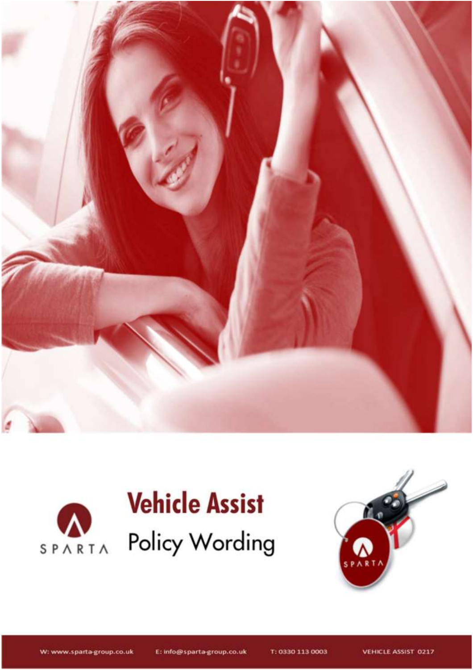





**Document Reference: «BBR.EMAIL»/VA/Wording/V6/Customers/01.12.19**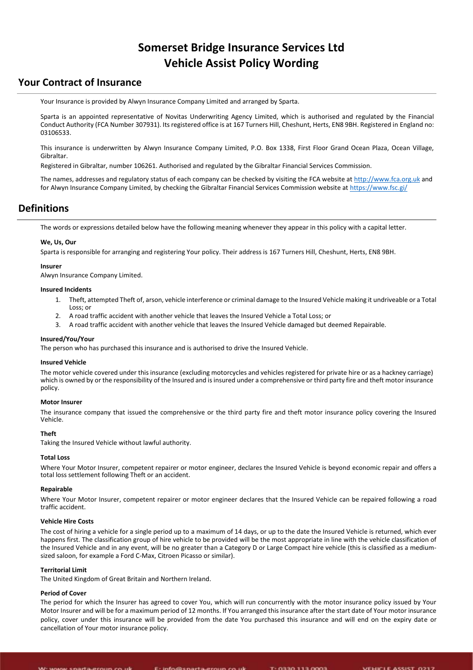# **Somerset Bridge Insurance Services Ltd Vehicle Assist Policy Wording**

### **Your Contract of Insurance**

Your Insurance is provided by Alwyn Insurance Company Limited and arranged by Sparta.

Sparta is an appointed representative of Novitas Underwriting Agency Limited, which is authorised and regulated by the Financial Conduct Authority (FCA Number 307931). Its registered office is at 167 Turners Hill, Cheshunt, Herts, EN8 9BH. Registered in England no: 03106533.

This insurance is underwritten by Alwyn Insurance Company Limited, P.O. Box 1338, First Floor Grand Ocean Plaza, Ocean Village, Gibraltar.

Registered in Gibraltar, number 106261. Authorised and regulated by the Gibraltar Financial Services Commission.

The names, addresses and regulatory status of each company can be checked by visiting the FCA website a[t http://www.fca.org.uk](http://www.fca.org.uk/) and for Alwyn Insurance Company Limited, by checking the Gibraltar Financial Services Commission website a[t https://www.fsc.gi/](https://www.fsc.gi/)

### **Definitions**

The words or expressions detailed below have the following meaning whenever they appear in this policy with a capital letter.

### **We, Us, Our**

Sparta is responsible for arranging and registering Your policy. Their address is 167 Turners Hill, Cheshunt, Herts, EN8 9BH.

### **Insurer**

Alwyn Insurance Company Limited.

#### **Insured Incidents**

- 1. Theft, attempted Theft of, arson, vehicle interference or criminal damage to the Insured Vehicle making it undriveable or a Total Loss; or
- 2. A road traffic accident with another vehicle that leaves the Insured Vehicle a Total Loss; or
- 3. A road traffic accident with another vehicle that leaves the Insured Vehicle damaged but deemed Repairable.

#### **Insured/You/Your**

The person who has purchased this insurance and is authorised to drive the Insured Vehicle.

### **Insured Vehicle**

The motor vehicle covered under this insurance (excluding motorcycles and vehicles registered for private hire or as a hackney carriage) which is owned by or the responsibility of the Insured and is insured under a comprehensive or third party fire and theft motor insurance policy.

### **Motor Insurer**

The insurance company that issued the comprehensive or the third party fire and theft motor insurance policy covering the Insured Vehicle.

### **Theft**

Taking the Insured Vehicle without lawful authority.

#### **Total Loss**

Where Your Motor Insurer, competent repairer or motor engineer, declares the Insured Vehicle is beyond economic repair and offers a total loss settlement following Theft or an accident.

#### **Repairable**

Where Your Motor Insurer, competent repairer or motor engineer declares that the Insured Vehicle can be repaired following a road traffic accident.

#### **Vehicle Hire Costs**

The cost of hiring a vehicle for a single period up to a maximum of 14 days, or up to the date the Insured Vehicle is returned, which ever happens first. The classification group of hire vehicle to be provided will be the most appropriate in line with the vehicle classification of the Insured Vehicle and in any event, will be no greater than a Category D or Large Compact hire vehicle (this is classified as a mediumsized saloon, for example a Ford C-Max, Citroen Picasso or similar).

#### **Territorial Limit**

The United Kingdom of Great Britain and Northern Ireland.

#### **Period of Cover**

The period for which the Insurer has agreed to cover You, which will run concurrently with the motor insurance policy issued by Your Motor Insurer and will be for a maximum period of 12 months. If You arranged this insurance after the start date of Your motor insurance policy, cover under this insurance will be provided from the date You purchased this insurance and will end on the expiry date or cancellation of Your motor insurance policy.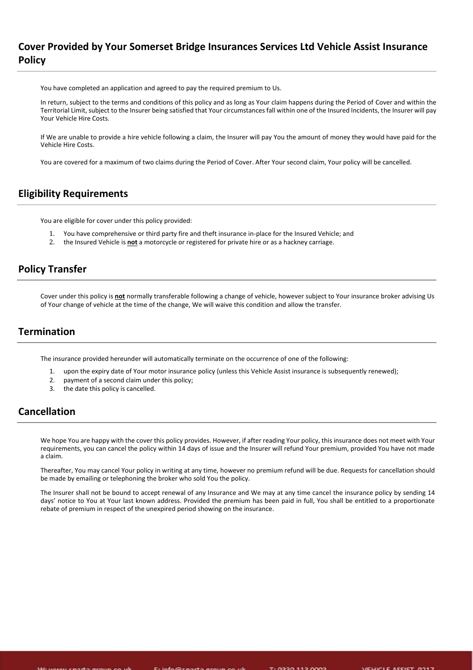# **Cover Provided by Your Somerset Bridge Insurances Services Ltd Vehicle Assist Insurance Policy**

You have completed an application and agreed to pay the required premium to Us.

In return, subject to the terms and conditions of this policy and as long as Your claim happens during the Period of Cover and within the Territorial Limit, subject to the Insurer being satisfied that Your circumstances fall within one of the Insured Incidents, the Insurer will pay Your Vehicle Hire Costs.

If We are unable to provide a hire vehicle following a claim, the Insurer will pay You the amount of money they would have paid for the Vehicle Hire Costs.

You are covered for a maximum of two claims during the Period of Cover. After Your second claim, Your policy will be cancelled.

### **Eligibility Requirements**

You are eligible for cover under this policy provided:

- 1. You have comprehensive or third party fire and theft insurance in-place for the Insured Vehicle; and
- 2. the Insured Vehicle is **not** a motorcycle or registered for private hire or as a hackney carriage.

### **Policy Transfer**

Cover under this policy is **not** normally transferable following a change of vehicle, however subject to Your insurance broker advising Us of Your change of vehicle at the time of the change, We will waive this condition and allow the transfer.

# **Termination**

The insurance provided hereunder will automatically terminate on the occurrence of one of the following:

- 1. upon the expiry date of Your motor insurance policy (unless this Vehicle Assist insurance is subsequently renewed);
- 2. payment of a second claim under this policy;
- 3. the date this policy is cancelled.

### **Cancellation**

We hope You are happy with the cover this policy provides. However, if after reading Your policy, this insurance does not meet with Your requirements, you can cancel the policy within 14 days of issue and the Insurer will refund Your premium, provided You have not made a claim.

Thereafter, You may cancel Your policy in writing at any time, however no premium refund will be due. Requests for cancellation should be made by emailing or telephoning the broker who sold You the policy.

The Insurer shall not be bound to accept renewal of any Insurance and We may at any time cancel the insurance policy by sending 14 days' notice to You at Your last known address. Provided the premium has been paid in full, You shall be entitled to a proportionate rebate of premium in respect of the unexpired period showing on the insurance.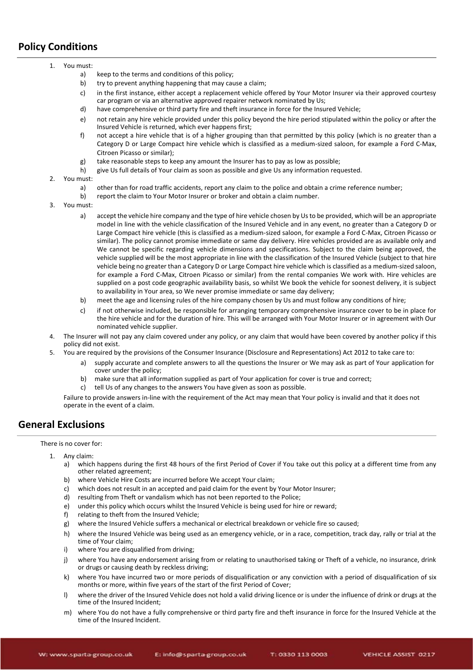# **Policy Conditions**

- 1. You must:
	- a) keep to the terms and conditions of this policy;<br>b) try to prevent anything happening that may cau
	- try to prevent anything happening that may cause a claim;
	- c) in the first instance, either accept a replacement vehicle offered by Your Motor Insurer via their approved courtesy car program or via an alternative approved repairer network nominated by Us;
	- d) have comprehensive or third party fire and theft insurance in force for the Insured Vehicle;
	- e) not retain any hire vehicle provided under this policy beyond the hire period stipulated within the policy or after the Insured Vehicle is returned, which ever happens first;
	- f) not accept a hire vehicle that is of a higher grouping than that permitted by this policy (which is no greater than a Category D or Large Compact hire vehicle which is classified as a medium-sized saloon, for example a Ford C-Max, Citroen Picasso or similar);
	- g) take reasonable steps to keep any amount the Insurer has to pay as low as possible;
	- h) give Us full details of Your claim as soon as possible and give Us any information requested.
- 2. You must:
	- a) other than for road traffic accidents, report any claim to the police and obtain a crime reference number;
	- b) report the claim to Your Motor Insurer or broker and obtain a claim number.
- 3. You must:
	- a) accept the vehicle hire company and the type of hire vehicle chosen by Us to be provided, which will be an appropriate model in line with the vehicle classification of the Insured Vehicle and in any event, no greater than a Category D or Large Compact hire vehicle (this is classified as a medium-sized saloon, for example a Ford C-Max, Citroen Picasso or similar). The policy cannot promise immediate or same day delivery. Hire vehicles provided are as available only and We cannot be specific regarding vehicle dimensions and specifications. Subject to the claim being approved, the vehicle supplied will be the most appropriate in line with the classification of the Insured Vehicle (subject to that hire vehicle being no greater than a Category D or Large Compact hire vehicle which is classified as a medium-sized saloon, for example a Ford C-Max, Citroen Picasso or similar) from the rental companies We work with. Hire vehicles are supplied on a post code geographic availability basis, so whilst We book the vehicle for soonest delivery, it is subject to availability in Your area, so We never promise immediate or same day delivery;
	- b) meet the age and licensing rules of the hire company chosen by Us and must follow any conditions of hire;
	- c) if not otherwise included, be responsible for arranging temporary comprehensive insurance cover to be in place for the hire vehicle and for the duration of hire. This will be arranged with Your Motor Insurer or in agreement with Our nominated vehicle supplier.
- 4. The Insurer will not pay any claim covered under any policy, or any claim that would have been covered by another policy if this policy did not exist.
- 5. You are required by the provisions of the Consumer Insurance (Disclosure and Representations) Act 2012 to take care to:
	- a) supply accurate and complete answers to all the questions the Insurer or We may ask as part of Your application for cover under the policy;
	- b) make sure that all information supplied as part of Your application for cover is true and correct;
	- c) tell Us of any changes to the answers You have given as soon as possible.

Failure to provide answers in-line with the requirement of the Act may mean that Your policy is invalid and that it does not operate in the event of a claim.

### **General Exclusions**

There is no cover for:

- 1. Any claim:
	- a) which happens during the first 48 hours of the first Period of Cover if You take out this policy at a different time from any other related agreement;
	- b) where Vehicle Hire Costs are incurred before We accept Your claim;
	- c) which does not result in an accepted and paid claim for the event by Your Motor Insurer;
	- d) resulting from Theft or vandalism which has not been reported to the Police;
	- e) under this policy which occurs whilst the Insured Vehicle is being used for hire or reward;
	- f) relating to theft from the Insured Vehicle;
	- g) where the Insured Vehicle suffers a mechanical or electrical breakdown or vehicle fire so caused;
	- h) where the Insured Vehicle was being used as an emergency vehicle, or in a race, competition, track day, rally or trial at the time of Your claim;
	- i) where You are disqualified from driving:
	- j) where You have any endorsement arising from or relating to unauthorised taking or Theft of a vehicle, no insurance, drink or drugs or causing death by reckless driving;
	- k) where You have incurred two or more periods of disqualification or any conviction with a period of disqualification of six months or more, within five years of the start of the first Period of Cover;
	- l) where the driver of the Insured Vehicle does not hold a valid driving licence or is under the influence of drink or drugs at the time of the Insured Incident;
	- m) where You do not have a fully comprehensive or third party fire and theft insurance in force for the Insured Vehicle at the time of the Insured Incident.

**Document Reference: «BBR.EMAIL»/VA/Wording/V6/Customers/01.12.19**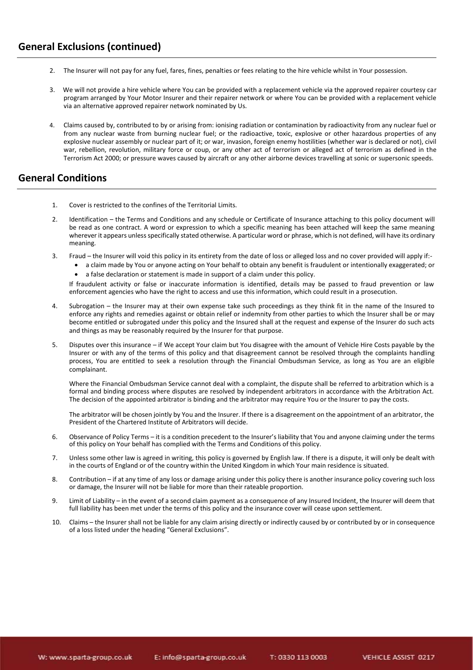- 2. The Insurer will not pay for any fuel, fares, fines, penalties or fees relating to the hire vehicle whilst in Your possession.
- 3. We will not provide a hire vehicle where You can be provided with a replacement vehicle via the approved repairer courtesy car program arranged by Your Motor Insurer and their repairer network or where You can be provided with a replacement vehicle via an alternative approved repairer network nominated by Us.
- 4. Claims caused by, contributed to by or arising from: ionising radiation or contamination by radioactivity from any nuclear fuel or from any nuclear waste from burning nuclear fuel; or the radioactive, toxic, explosive or other hazardous properties of any explosive nuclear assembly or nuclear part of it; or war, invasion, foreign enemy hostilities (whether war is declared or not), civil war, rebellion, revolution, military force or coup, or any other act of terrorism or alleged act of terrorism as defined in the Terrorism Act 2000; or pressure waves caused by aircraft or any other airborne devices travelling at sonic or supersonic speeds.

### **General Conditions**

- 1. Cover is restricted to the confines of the Territorial Limits.
- 2. Identification the Terms and Conditions and any schedule or Certificate of Insurance attaching to this policy document will be read as one contract. A word or expression to which a specific meaning has been attached will keep the same meaning wherever it appears unless specifically stated otherwise. A particular word or phrase, which is not defined, will have its ordinary meaning.
- 3. Fraud the Insurer will void this policy in its entirety from the date of loss or alleged loss and no cover provided will apply if:-
	- a claim made by You or anyone acting on Your behalf to obtain any benefit is fraudulent or intentionally exaggerated; or
	- a false declaration or statement is made in support of a claim under this policy.

If fraudulent activity or false or inaccurate information is identified, details may be passed to fraud prevention or law enforcement agencies who have the right to access and use this information, which could result in a prosecution.

- 4. Subrogation the Insurer may at their own expense take such proceedings as they think fit in the name of the Insured to enforce any rights and remedies against or obtain relief or indemnity from other parties to which the Insurer shall be or may become entitled or subrogated under this policy and the Insured shall at the request and expense of the Insurer do such acts and things as may be reasonably required by the Insurer for that purpose.
- 5. Disputes over this insurance if We accept Your claim but You disagree with the amount of Vehicle Hire Costs payable by the Insurer or with any of the terms of this policy and that disagreement cannot be resolved through the complaints handling process, You are entitled to seek a resolution through the Financial Ombudsman Service, as long as You are an eligible complainant.

Where the Financial Ombudsman Service cannot deal with a complaint, the dispute shall be referred to arbitration which is a formal and binding process where disputes are resolved by independent arbitrators in accordance with the Arbitration Act. The decision of the appointed arbitrator is binding and the arbitrator may require You or the Insurer to pay the costs.

The arbitrator will be chosen jointly by You and the Insurer. If there is a disagreement on the appointment of an arbitrator, the President of the Chartered Institute of Arbitrators will decide.

- 6. Observance of Policy Terms it is a condition precedent to the Insurer's liability that You and anyone claiming under the terms of this policy on Your behalf has complied with the Terms and Conditions of this policy.
- 7. Unless some other law is agreed in writing, this policy is governed by English law. If there is a dispute, it will only be dealt with in the courts of England or of the country within the United Kingdom in which Your main residence is situated.
- 8. Contribution if at any time of any loss or damage arising under this policy there is another insurance policy covering such loss or damage, the Insurer will not be liable for more than their rateable proportion.
- 9. Limit of Liability in the event of a second claim payment as a consequence of any Insured Incident, the Insurer will deem that full liability has been met under the terms of this policy and the insurance cover will cease upon settlement.
- 10. Claims the Insurer shall not be liable for any claim arising directly or indirectly caused by or contributed by or in consequence of a loss listed under the heading "General Exclusions".

T: 0330 113 0003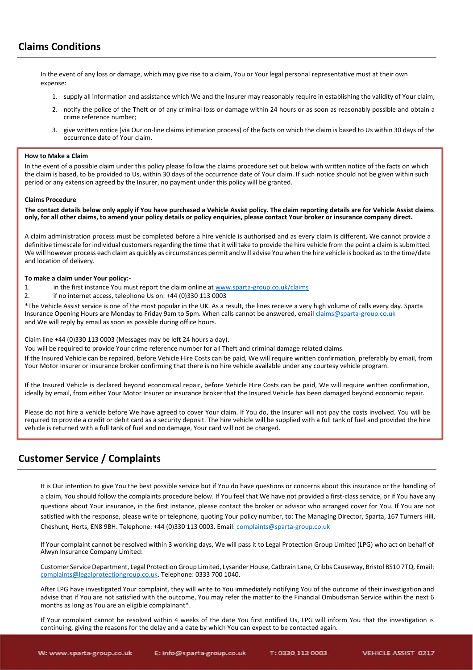# **Claims Conditions**

In the event of any loss or damage, which may give rise to a claim, You or Your legal personal representative must at their own expense:

- 1. supply all information and assistance which We and the Insurer may reasonably require in establishing the validity of Your claim;
- 2. notify the police of the Theft or of any criminal loss or damage within 24 hours or as soon as reasonably possible and obtain a crime reference number;
- 3. give written notice (via Our on-line claims intimation process) of the facts on which the claim is based to Us within 30 days of the occurrence date of Your claim.

#### **How to Make a Claim**

In the event of a possible claim under this policy please follow the claims procedure set out below with written notice of the facts on which the claim is based, to be provided to Us, within 30 days of the occurrence date of Your claim. If such notice should not be given within such period or any extension agreed by the Insurer, no payment under this policy will be granted.

#### **Claims Procedure**

**The contact details below only apply if You have purchased a Vehicle Assist policy. The claim reporting details are for Vehicle Assist claims only, for all other claims, to amend your policy details or policy enquiries, please contact Your broker or insurance company direct.**

A claim administration process must be completed before a hire vehicle is authorised and as every claim is different, We cannot provide a definitive timescale for individual customers regarding the time that it will take to provide the hire vehicle from the point a claim is submitted. We will however process each claim as quickly as circumstances permit and will advise You when the hire vehicle is booked as to the time/date and location of delivery.

#### **To make a claim under Your policy:-**

- 1. in the first instance You must report the claim online at [www.sparta-group.co.uk/claims](http://www.sparta-group.co.uk/claims)
- 2. if no internet access, telephone Us on: +44 (0)330 113 0003

\*The Vehicle Assist service is one of the most popular in the UK. As a result, the lines receive a very high volume of calls every day. Sparta Insurance Opening Hours are Monday to Friday 9am to 5pm. When calls cannot be answered, email *claims@sparta-group.co.uk* and We will reply by email as soon as possible during office hours.

Claim line +44 (0)330 113 0003 (Messages may be left 24 hours a day).

You will be required to provide Your crime reference number for all Theft and criminal damage related claims.

If the Insured Vehicle can be repaired, before Vehicle Hire Costs can be paid, We will require written confirmation, preferably by email, from Your Motor Insurer or insurance broker confirming that there is no hire vehicle available under any courtesy vehicle program.

If the Insured Vehicle is declared beyond economical repair, before Vehicle Hire Costs can be paid, We will require written confirmation, ideally by email, from either Your Motor Insurer or insurance broker that the Insured Vehicle has been damaged beyond economic repair.

Please do not hire a vehicle before We have agreed to cover Your claim. If You do, the Insurer will not pay the costs involved. You will be required to provide a credit or debit card as a security deposit. The hire vehicle will be supplied with a full tank of fuel and provided the hire vehicle is returned with a full tank of fuel and no damage, Your card will not be charged.

### **Customer Service / Complaints**

It is Our intention to give You the best possible service but if You do have questions or concerns about this insurance or the handling of a claim, You should follow the complaints procedure below. If You feel that We have not provided a first-class service, or if You have any questions about Your insurance, in the first instance, please contact the broker or advisor who arranged cover for You. If You are not satisfied with the response, please write or telephone, quoting Your policy number, to: The Managing Director, Sparta, 167 Turners Hill, Cheshunt, Herts, EN8 9BH. Telephone: +44 (0)330 113 0003. Email[: complaints@sparta-group.co.uk](mailto:complaints@sparta-group.co.uk)

If Your complaint cannot be resolved within 3 working days, We will pass it to Legal Protection Group Limited (LPG) who act on behalf of Alwyn Insurance Company Limited:

Customer Service Department, Legal Protection Group Limited, Lysander House, Catbrain Lane, Cribbs Causeway, Bristol BS10 7TQ. Email: [complaints@legalprotectiongroup.co.uk.](mailto:complaints@legalprotectiongroup.co.uk) Telephone: 0333 700 1040.

After LPG have investigated Your complaint, they will write to You immediately notifying You of the outcome of their investigation and advise that if You are not satisfied with the outcome, You may refer the matter to the Financial Ombudsman Service within the next 6 months as long as You are an eligible complainant\*.

If Your complaint cannot be resolved within 4 weeks of the date You first notified Us, LPG will inform You that the investigation is continuing, giving the reasons for the delay and a date by which You can expect to be contacted again.

**Document Reference: «BBR.EMAIL»/VA/Wording/V6/Customers/01.12.19**